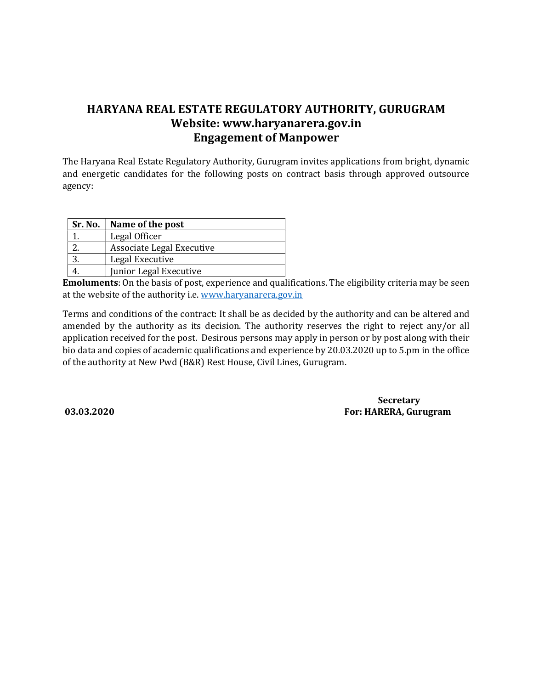## HARYANA REAL ESTATE REGULATORY AUTHORITY, GURUGRAM Website: www.haryanarera.gov.in Engagement of Manpower

The Haryana Real Estate Regulatory Authority, Gurugram invites applications from bright, dynamic and energetic candidates for the following posts on contract basis through approved outsource agency:

| Sr. No. | Name of the post          |
|---------|---------------------------|
|         | Legal Officer             |
|         | Associate Legal Executive |
|         | Legal Executive           |
|         | Junior Legal Executive    |

Emoluments: On the basis of post, experience and qualifications. The eligibility criteria may be seen at the website of the authority i.e. www.haryanarera.gov.in

Terms and conditions of the contract: It shall be as decided by the authority and can be altered and amended by the authority as its decision. The authority reserves the right to reject any/or all application received for the post. Desirous persons may apply in person or by post along with their bio data and copies of academic qualifications and experience by 20.03.2020 up to 5.pm in the office of the authority at New Pwd (B&R) Rest House, Civil Lines, Gurugram.

**Secretary** 03.03.2020 For: HARERA, Gurugram